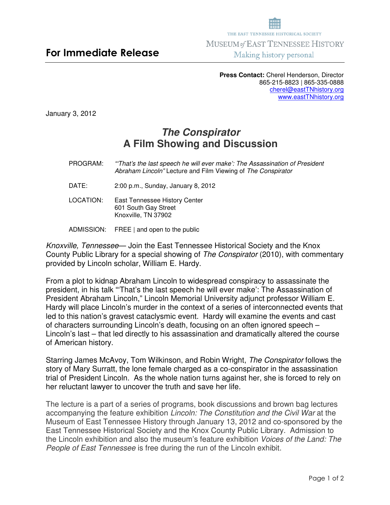**Press Contact:** Cherel Henderson, Director 865-215-8823 | 865-335-0888 cherel@eastTNhistory.org www.eastTNhistory.org

January 3, 2012

## **The Conspirator A Film Showing and Discussion**

- PROGRAM:"'That's the last speech he will ever make': The Assassination of President Abraham Lincoln" Lecture and Film Viewing of The Conspirator
- DATE: 2:00 p.m., Sunday, January 8, 2012

LOCATION: East Tennessee History Center 601 South Gay Street Knoxville, TN 37902

ADMISSION: FREE | and open to the public

Knoxville, Tennessee— Join the East Tennessee Historical Society and the Knox County Public Library for a special showing of The Conspirator (2010), with commentary provided by Lincoln scholar, William E. Hardy.

From a plot to kidnap Abraham Lincoln to widespread conspiracy to assassinate the president, in his talk "'That's the last speech he will ever make': The Assassination of President Abraham Lincoln," Lincoln Memorial University adjunct professor William E. Hardy will place Lincoln's murder in the context of a series of interconnected events that led to this nation's gravest cataclysmic event. Hardy will examine the events and cast of characters surrounding Lincoln's death, focusing on an often ignored speech – Lincoln's last – that led directly to his assassination and dramatically altered the course of American history.

Starring James McAvoy, Tom Wilkinson, and Robin Wright, The Conspirator follows the story of Mary Surratt, the lone female charged as a co-conspirator in the assassination trial of President Lincoln. As the whole nation turns against her, she is forced to rely on her reluctant lawyer to uncover the truth and save her life.

The lecture is a part of a series of programs, book discussions and brown bag lectures accompanying the feature exhibition Lincoln: The Constitution and the Civil War at the Museum of East Tennessee History through January 13, 2012 and co-sponsored by the East Tennessee Historical Society and the Knox County Public Library. Admission to the Lincoln exhibition and also the museum's feature exhibition Voices of the Land: The People of East Tennessee is free during the run of the Lincoln exhibit.